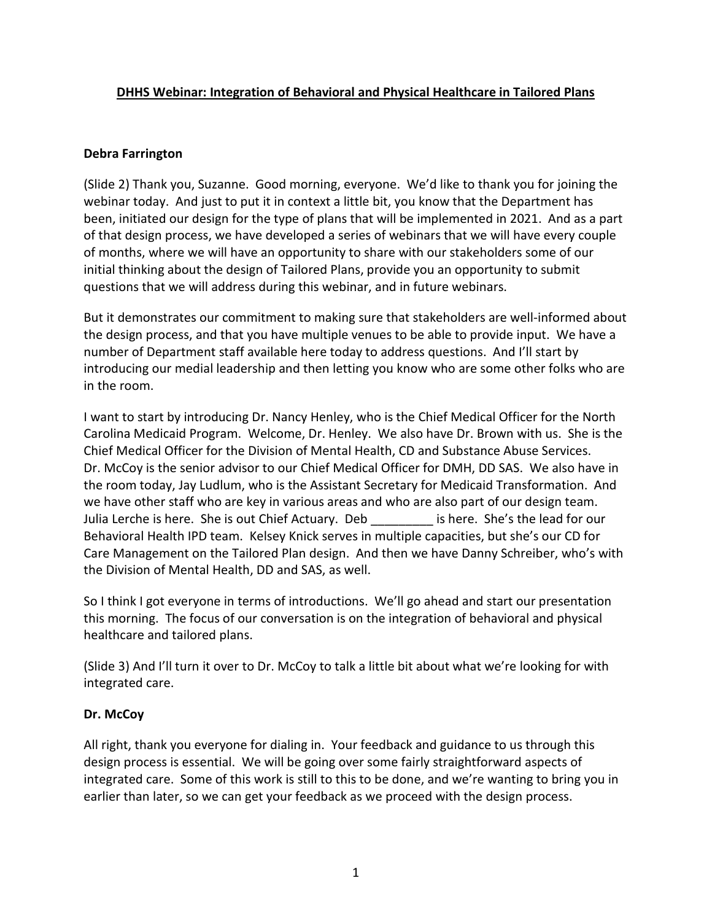# **DHHS Webinar: Integration of Behavioral and Physical Healthcare in Tailored Plans**

## **Debra Farrington**

(Slide 2) Thank you, Suzanne. Good morning, everyone. We'd like to thank you for joining the webinar today. And just to put it in context a little bit, you know that the Department has been, initiated our design for the type of plans that will be implemented in 2021. And as a part of that design process, we have developed a series of webinars that we will have every couple of months, where we will have an opportunity to share with our stakeholders some of our initial thinking about the design of Tailored Plans, provide you an opportunity to submit questions that we will address during this webinar, and in future webinars.

But it demonstrates our commitment to making sure that stakeholders are well-informed about the design process, and that you have multiple venues to be able to provide input. We have a number of Department staff available here today to address questions. And I'll start by introducing our medial leadership and then letting you know who are some other folks who are in the room.

I want to start by introducing Dr. Nancy Henley, who is the Chief Medical Officer for the North Carolina Medicaid Program. Welcome, Dr. Henley. We also have Dr. Brown with us. She is the Chief Medical Officer for the Division of Mental Health, CD and Substance Abuse Services. Dr. McCoy is the senior advisor to our Chief Medical Officer for DMH, DD SAS. We also have in the room today, Jay Ludlum, who is the Assistant Secretary for Medicaid Transformation. And we have other staff who are key in various areas and who are also part of our design team. Julia Lerche is here. She is out Chief Actuary. Deb each is here. She's the lead for our Behavioral Health IPD team. Kelsey Knick serves in multiple capacities, but she's our CD for Care Management on the Tailored Plan design. And then we have Danny Schreiber, who's with the Division of Mental Health, DD and SAS, as well.

So I think I got everyone in terms of introductions. We'll go ahead and start our presentation this morning. The focus of our conversation is on the integration of behavioral and physical healthcare and tailored plans.

(Slide 3) And I'll turn it over to Dr. McCoy to talk a little bit about what we're looking for with integrated care.

### **Dr. McCoy**

All right, thank you everyone for dialing in. Your feedback and guidance to us through this design process is essential. We will be going over some fairly straightforward aspects of integrated care. Some of this work is still to this to be done, and we're wanting to bring you in earlier than later, so we can get your feedback as we proceed with the design process.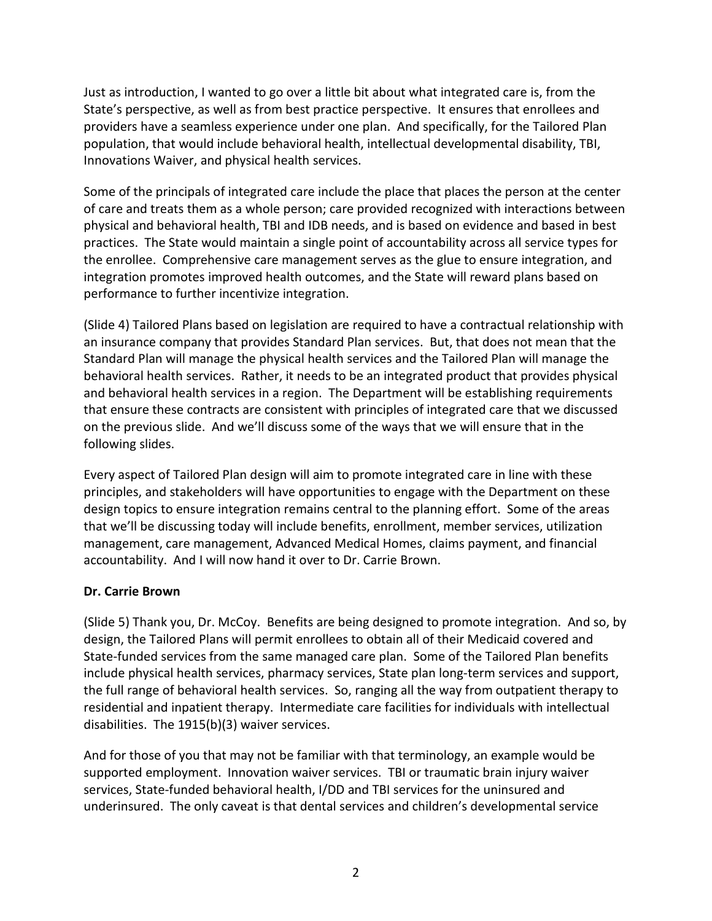Just as introduction, I wanted to go over a little bit about what integrated care is, from the State's perspective, as well as from best practice perspective. It ensures that enrollees and providers have a seamless experience under one plan. And specifically, for the Tailored Plan population, that would include behavioral health, intellectual developmental disability, TBI, Innovations Waiver, and physical health services.

Some of the principals of integrated care include the place that places the person at the center of care and treats them as a whole person; care provided recognized with interactions between physical and behavioral health, TBI and IDB needs, and is based on evidence and based in best practices. The State would maintain a single point of accountability across all service types for the enrollee. Comprehensive care management serves as the glue to ensure integration, and integration promotes improved health outcomes, and the State will reward plans based on performance to further incentivize integration.

(Slide 4) Tailored Plans based on legislation are required to have a contractual relationship with an insurance company that provides Standard Plan services. But, that does not mean that the Standard Plan will manage the physical health services and the Tailored Plan will manage the behavioral health services. Rather, it needs to be an integrated product that provides physical and behavioral health services in a region. The Department will be establishing requirements that ensure these contracts are consistent with principles of integrated care that we discussed on the previous slide. And we'll discuss some of the ways that we will ensure that in the following slides.

Every aspect of Tailored Plan design will aim to promote integrated care in line with these principles, and stakeholders will have opportunities to engage with the Department on these design topics to ensure integration remains central to the planning effort. Some of the areas that we'll be discussing today will include benefits, enrollment, member services, utilization management, care management, Advanced Medical Homes, claims payment, and financial accountability. And I will now hand it over to Dr. Carrie Brown.

# **Dr. Carrie Brown**

(Slide 5) Thank you, Dr. McCoy. Benefits are being designed to promote integration. And so, by design, the Tailored Plans will permit enrollees to obtain all of their Medicaid covered and State-funded services from the same managed care plan. Some of the Tailored Plan benefits include physical health services, pharmacy services, State plan long-term services and support, the full range of behavioral health services. So, ranging all the way from outpatient therapy to residential and inpatient therapy. Intermediate care facilities for individuals with intellectual disabilities. The 1915(b)(3) waiver services.

And for those of you that may not be familiar with that terminology, an example would be supported employment. Innovation waiver services. TBI or traumatic brain injury waiver services, State-funded behavioral health, I/DD and TBI services for the uninsured and underinsured. The only caveat is that dental services and children's developmental service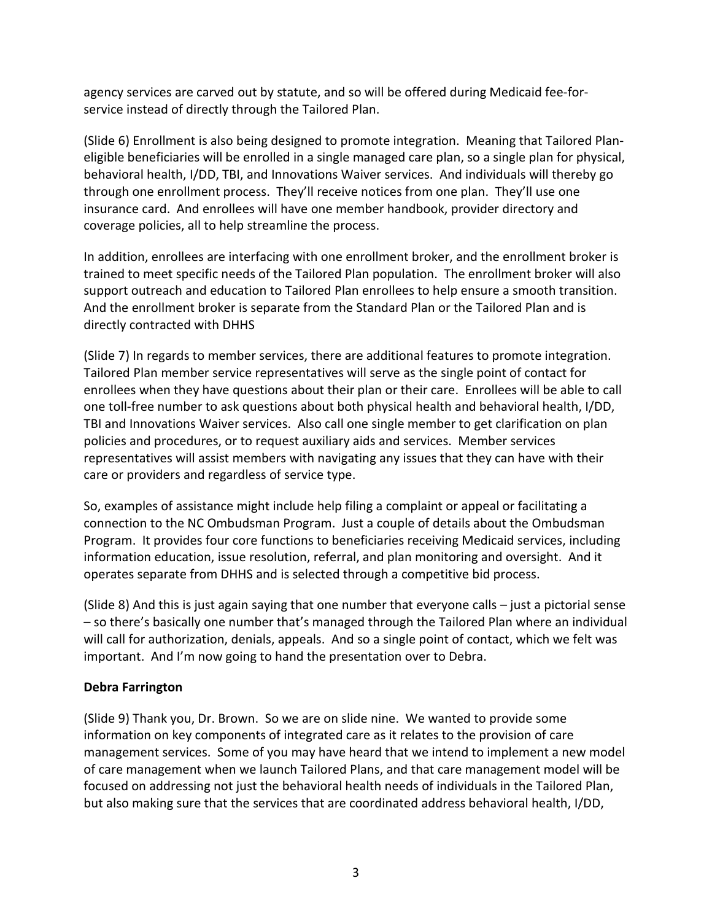agency services are carved out by statute, and so will be offered during Medicaid fee-forservice instead of directly through the Tailored Plan.

(Slide 6) Enrollment is also being designed to promote integration. Meaning that Tailored Planeligible beneficiaries will be enrolled in a single managed care plan, so a single plan for physical, behavioral health, I/DD, TBI, and Innovations Waiver services. And individuals will thereby go through one enrollment process. They'll receive notices from one plan. They'll use one insurance card. And enrollees will have one member handbook, provider directory and coverage policies, all to help streamline the process.

In addition, enrollees are interfacing with one enrollment broker, and the enrollment broker is trained to meet specific needs of the Tailored Plan population. The enrollment broker will also support outreach and education to Tailored Plan enrollees to help ensure a smooth transition. And the enrollment broker is separate from the Standard Plan or the Tailored Plan and is directly contracted with DHHS

(Slide 7) In regards to member services, there are additional features to promote integration. Tailored Plan member service representatives will serve as the single point of contact for enrollees when they have questions about their plan or their care. Enrollees will be able to call one toll-free number to ask questions about both physical health and behavioral health, I/DD, TBI and Innovations Waiver services. Also call one single member to get clarification on plan policies and procedures, or to request auxiliary aids and services. Member services representatives will assist members with navigating any issues that they can have with their care or providers and regardless of service type.

So, examples of assistance might include help filing a complaint or appeal or facilitating a connection to the NC Ombudsman Program. Just a couple of details about the Ombudsman Program. It provides four core functions to beneficiaries receiving Medicaid services, including information education, issue resolution, referral, and plan monitoring and oversight. And it operates separate from DHHS and is selected through a competitive bid process.

(Slide 8) And this is just again saying that one number that everyone calls – just a pictorial sense – so there's basically one number that's managed through the Tailored Plan where an individual will call for authorization, denials, appeals. And so a single point of contact, which we felt was important. And I'm now going to hand the presentation over to Debra.

# **Debra Farrington**

(Slide 9) Thank you, Dr. Brown. So we are on slide nine. We wanted to provide some information on key components of integrated care as it relates to the provision of care management services. Some of you may have heard that we intend to implement a new model of care management when we launch Tailored Plans, and that care management model will be focused on addressing not just the behavioral health needs of individuals in the Tailored Plan, but also making sure that the services that are coordinated address behavioral health, I/DD,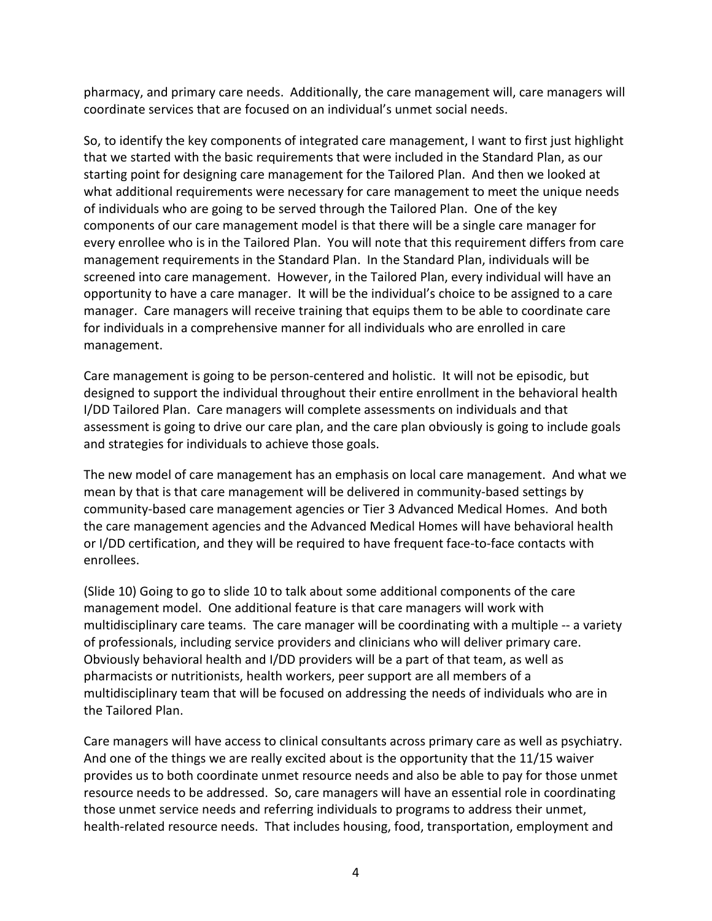pharmacy, and primary care needs. Additionally, the care management will, care managers will coordinate services that are focused on an individual's unmet social needs.

So, to identify the key components of integrated care management, I want to first just highlight that we started with the basic requirements that were included in the Standard Plan, as our starting point for designing care management for the Tailored Plan. And then we looked at what additional requirements were necessary for care management to meet the unique needs of individuals who are going to be served through the Tailored Plan. One of the key components of our care management model is that there will be a single care manager for every enrollee who is in the Tailored Plan. You will note that this requirement differs from care management requirements in the Standard Plan. In the Standard Plan, individuals will be screened into care management. However, in the Tailored Plan, every individual will have an opportunity to have a care manager. It will be the individual's choice to be assigned to a care manager. Care managers will receive training that equips them to be able to coordinate care for individuals in a comprehensive manner for all individuals who are enrolled in care management.

Care management is going to be person-centered and holistic. It will not be episodic, but designed to support the individual throughout their entire enrollment in the behavioral health I/DD Tailored Plan. Care managers will complete assessments on individuals and that assessment is going to drive our care plan, and the care plan obviously is going to include goals and strategies for individuals to achieve those goals.

The new model of care management has an emphasis on local care management. And what we mean by that is that care management will be delivered in community-based settings by community-based care management agencies or Tier 3 Advanced Medical Homes. And both the care management agencies and the Advanced Medical Homes will have behavioral health or I/DD certification, and they will be required to have frequent face-to-face contacts with enrollees.

(Slide 10) Going to go to slide 10 to talk about some additional components of the care management model. One additional feature is that care managers will work with multidisciplinary care teams. The care manager will be coordinating with a multiple -- a variety of professionals, including service providers and clinicians who will deliver primary care. Obviously behavioral health and I/DD providers will be a part of that team, as well as pharmacists or nutritionists, health workers, peer support are all members of a multidisciplinary team that will be focused on addressing the needs of individuals who are in the Tailored Plan.

Care managers will have access to clinical consultants across primary care as well as psychiatry. And one of the things we are really excited about is the opportunity that the 11/15 waiver provides us to both coordinate unmet resource needs and also be able to pay for those unmet resource needs to be addressed. So, care managers will have an essential role in coordinating those unmet service needs and referring individuals to programs to address their unmet, health-related resource needs. That includes housing, food, transportation, employment and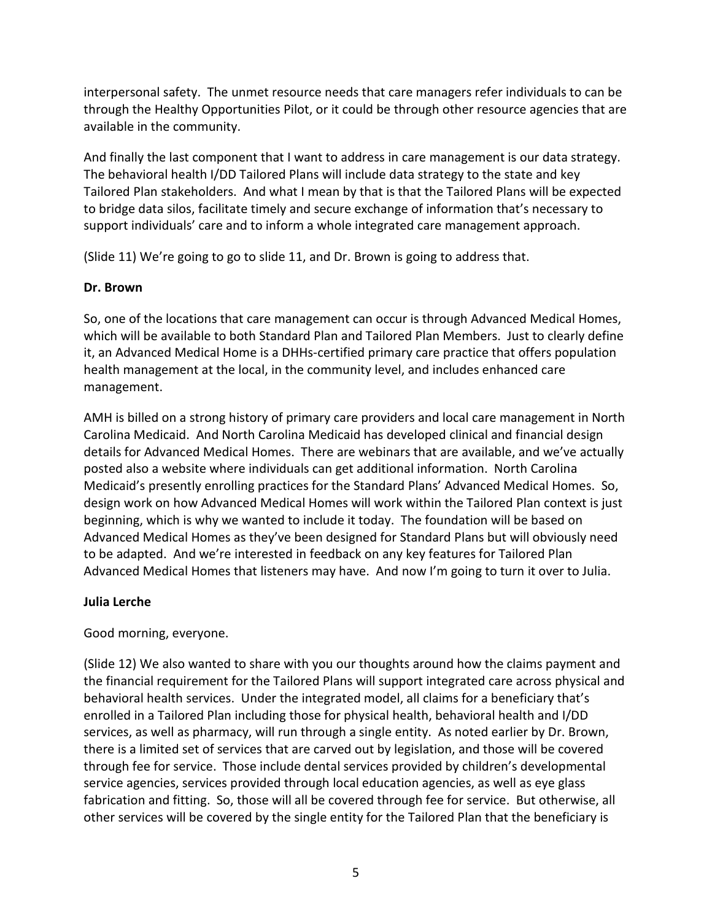interpersonal safety. The unmet resource needs that care managers refer individuals to can be through the Healthy Opportunities Pilot, or it could be through other resource agencies that are available in the community.

And finally the last component that I want to address in care management is our data strategy. The behavioral health I/DD Tailored Plans will include data strategy to the state and key Tailored Plan stakeholders. And what I mean by that is that the Tailored Plans will be expected to bridge data silos, facilitate timely and secure exchange of information that's necessary to support individuals' care and to inform a whole integrated care management approach.

(Slide 11) We're going to go to slide 11, and Dr. Brown is going to address that.

## **Dr. Brown**

So, one of the locations that care management can occur is through Advanced Medical Homes, which will be available to both Standard Plan and Tailored Plan Members. Just to clearly define it, an Advanced Medical Home is a DHHs-certified primary care practice that offers population health management at the local, in the community level, and includes enhanced care management.

AMH is billed on a strong history of primary care providers and local care management in North Carolina Medicaid. And North Carolina Medicaid has developed clinical and financial design details for Advanced Medical Homes. There are webinars that are available, and we've actually posted also a website where individuals can get additional information. North Carolina Medicaid's presently enrolling practices for the Standard Plans' Advanced Medical Homes. So, design work on how Advanced Medical Homes will work within the Tailored Plan context is just beginning, which is why we wanted to include it today. The foundation will be based on Advanced Medical Homes as they've been designed for Standard Plans but will obviously need to be adapted. And we're interested in feedback on any key features for Tailored Plan Advanced Medical Homes that listeners may have. And now I'm going to turn it over to Julia.

# **Julia Lerche**

Good morning, everyone.

(Slide 12) We also wanted to share with you our thoughts around how the claims payment and the financial requirement for the Tailored Plans will support integrated care across physical and behavioral health services. Under the integrated model, all claims for a beneficiary that's enrolled in a Tailored Plan including those for physical health, behavioral health and I/DD services, as well as pharmacy, will run through a single entity. As noted earlier by Dr. Brown, there is a limited set of services that are carved out by legislation, and those will be covered through fee for service. Those include dental services provided by children's developmental service agencies, services provided through local education agencies, as well as eye glass fabrication and fitting. So, those will all be covered through fee for service. But otherwise, all other services will be covered by the single entity for the Tailored Plan that the beneficiary is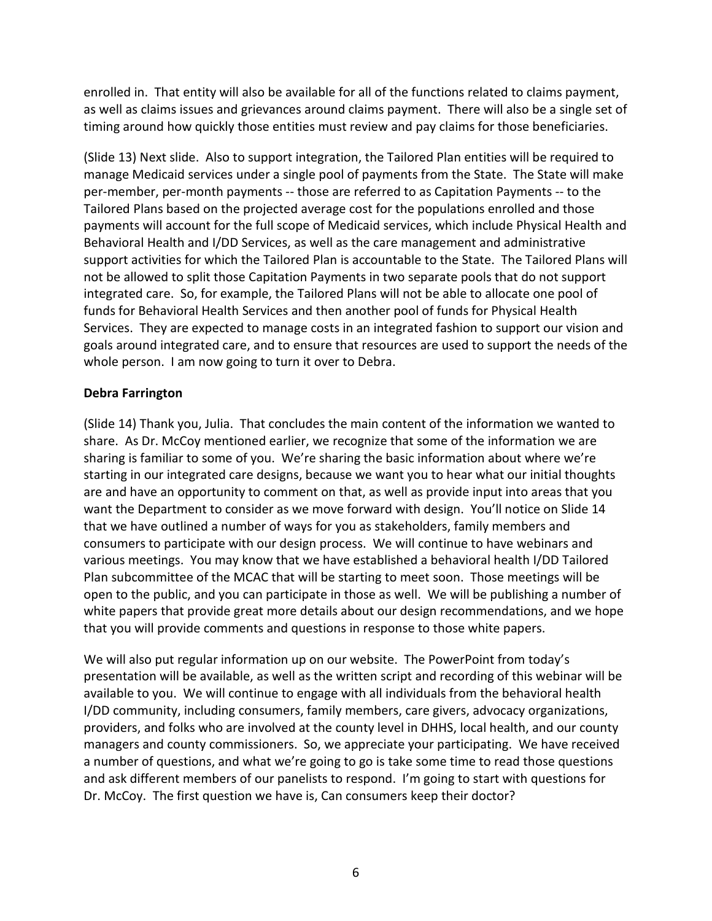enrolled in. That entity will also be available for all of the functions related to claims payment, as well as claims issues and grievances around claims payment. There will also be a single set of timing around how quickly those entities must review and pay claims for those beneficiaries.

(Slide 13) Next slide. Also to support integration, the Tailored Plan entities will be required to manage Medicaid services under a single pool of payments from the State. The State will make per-member, per-month payments -- those are referred to as Capitation Payments -- to the Tailored Plans based on the projected average cost for the populations enrolled and those payments will account for the full scope of Medicaid services, which include Physical Health and Behavioral Health and I/DD Services, as well as the care management and administrative support activities for which the Tailored Plan is accountable to the State. The Tailored Plans will not be allowed to split those Capitation Payments in two separate pools that do not support integrated care. So, for example, the Tailored Plans will not be able to allocate one pool of funds for Behavioral Health Services and then another pool of funds for Physical Health Services. They are expected to manage costs in an integrated fashion to support our vision and goals around integrated care, and to ensure that resources are used to support the needs of the whole person. I am now going to turn it over to Debra.

### **Debra Farrington**

(Slide 14) Thank you, Julia. That concludes the main content of the information we wanted to share. As Dr. McCoy mentioned earlier, we recognize that some of the information we are sharing is familiar to some of you. We're sharing the basic information about where we're starting in our integrated care designs, because we want you to hear what our initial thoughts are and have an opportunity to comment on that, as well as provide input into areas that you want the Department to consider as we move forward with design. You'll notice on Slide 14 that we have outlined a number of ways for you as stakeholders, family members and consumers to participate with our design process. We will continue to have webinars and various meetings. You may know that we have established a behavioral health I/DD Tailored Plan subcommittee of the MCAC that will be starting to meet soon. Those meetings will be open to the public, and you can participate in those as well. We will be publishing a number of white papers that provide great more details about our design recommendations, and we hope that you will provide comments and questions in response to those white papers.

We will also put regular information up on our website. The PowerPoint from today's presentation will be available, as well as the written script and recording of this webinar will be available to you. We will continue to engage with all individuals from the behavioral health I/DD community, including consumers, family members, care givers, advocacy organizations, providers, and folks who are involved at the county level in DHHS, local health, and our county managers and county commissioners. So, we appreciate your participating. We have received a number of questions, and what we're going to go is take some time to read those questions and ask different members of our panelists to respond. I'm going to start with questions for Dr. McCoy. The first question we have is, Can consumers keep their doctor?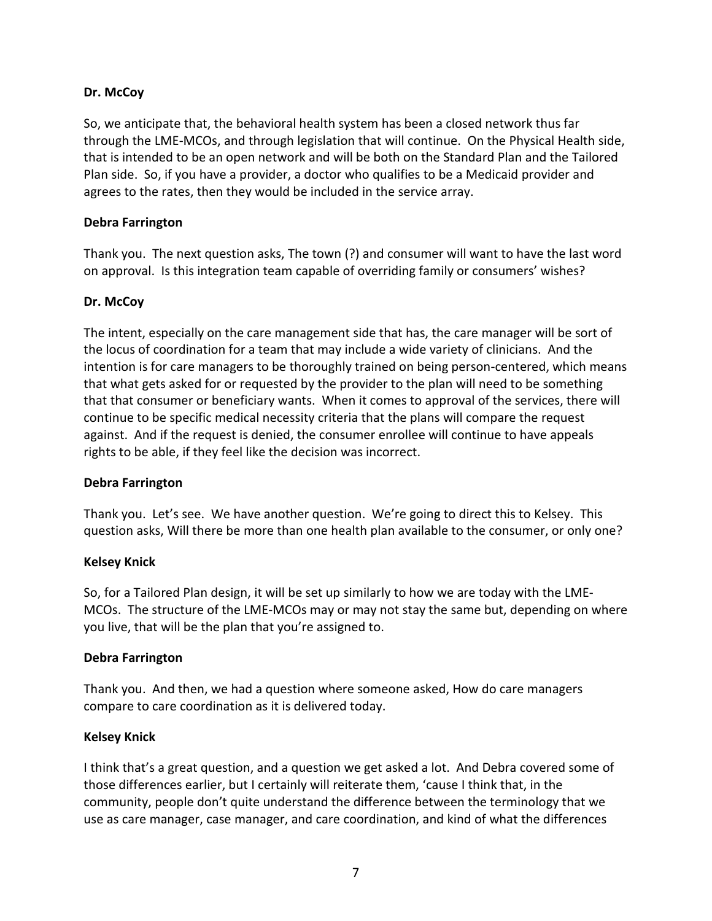## **Dr. McCoy**

So, we anticipate that, the behavioral health system has been a closed network thus far through the LME-MCOs, and through legislation that will continue. On the Physical Health side, that is intended to be an open network and will be both on the Standard Plan and the Tailored Plan side. So, if you have a provider, a doctor who qualifies to be a Medicaid provider and agrees to the rates, then they would be included in the service array.

## **Debra Farrington**

Thank you. The next question asks, The town (?) and consumer will want to have the last word on approval. Is this integration team capable of overriding family or consumers' wishes?

## **Dr. McCoy**

The intent, especially on the care management side that has, the care manager will be sort of the locus of coordination for a team that may include a wide variety of clinicians. And the intention is for care managers to be thoroughly trained on being person-centered, which means that what gets asked for or requested by the provider to the plan will need to be something that that consumer or beneficiary wants. When it comes to approval of the services, there will continue to be specific medical necessity criteria that the plans will compare the request against. And if the request is denied, the consumer enrollee will continue to have appeals rights to be able, if they feel like the decision was incorrect.

### **Debra Farrington**

Thank you. Let's see. We have another question. We're going to direct this to Kelsey. This question asks, Will there be more than one health plan available to the consumer, or only one?

### **Kelsey Knick**

So, for a Tailored Plan design, it will be set up similarly to how we are today with the LME-MCOs. The structure of the LME-MCOs may or may not stay the same but, depending on where you live, that will be the plan that you're assigned to.

### **Debra Farrington**

Thank you. And then, we had a question where someone asked, How do care managers compare to care coordination as it is delivered today.

### **Kelsey Knick**

I think that's a great question, and a question we get asked a lot. And Debra covered some of those differences earlier, but I certainly will reiterate them, 'cause I think that, in the community, people don't quite understand the difference between the terminology that we use as care manager, case manager, and care coordination, and kind of what the differences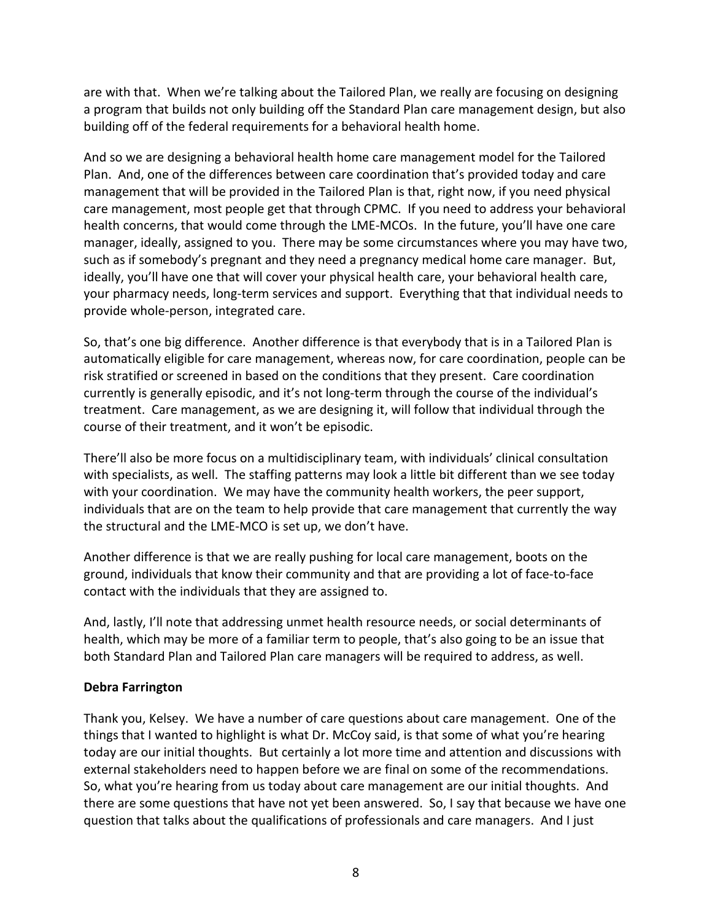are with that. When we're talking about the Tailored Plan, we really are focusing on designing a program that builds not only building off the Standard Plan care management design, but also building off of the federal requirements for a behavioral health home.

And so we are designing a behavioral health home care management model for the Tailored Plan. And, one of the differences between care coordination that's provided today and care management that will be provided in the Tailored Plan is that, right now, if you need physical care management, most people get that through CPMC. If you need to address your behavioral health concerns, that would come through the LME-MCOs. In the future, you'll have one care manager, ideally, assigned to you. There may be some circumstances where you may have two, such as if somebody's pregnant and they need a pregnancy medical home care manager. But, ideally, you'll have one that will cover your physical health care, your behavioral health care, your pharmacy needs, long-term services and support. Everything that that individual needs to provide whole-person, integrated care.

So, that's one big difference. Another difference is that everybody that is in a Tailored Plan is automatically eligible for care management, whereas now, for care coordination, people can be risk stratified or screened in based on the conditions that they present. Care coordination currently is generally episodic, and it's not long-term through the course of the individual's treatment. Care management, as we are designing it, will follow that individual through the course of their treatment, and it won't be episodic.

There'll also be more focus on a multidisciplinary team, with individuals' clinical consultation with specialists, as well. The staffing patterns may look a little bit different than we see today with your coordination. We may have the community health workers, the peer support, individuals that are on the team to help provide that care management that currently the way the structural and the LME-MCO is set up, we don't have.

Another difference is that we are really pushing for local care management, boots on the ground, individuals that know their community and that are providing a lot of face-to-face contact with the individuals that they are assigned to.

And, lastly, I'll note that addressing unmet health resource needs, or social determinants of health, which may be more of a familiar term to people, that's also going to be an issue that both Standard Plan and Tailored Plan care managers will be required to address, as well.

# **Debra Farrington**

Thank you, Kelsey. We have a number of care questions about care management. One of the things that I wanted to highlight is what Dr. McCoy said, is that some of what you're hearing today are our initial thoughts. But certainly a lot more time and attention and discussions with external stakeholders need to happen before we are final on some of the recommendations. So, what you're hearing from us today about care management are our initial thoughts. And there are some questions that have not yet been answered. So, I say that because we have one question that talks about the qualifications of professionals and care managers. And I just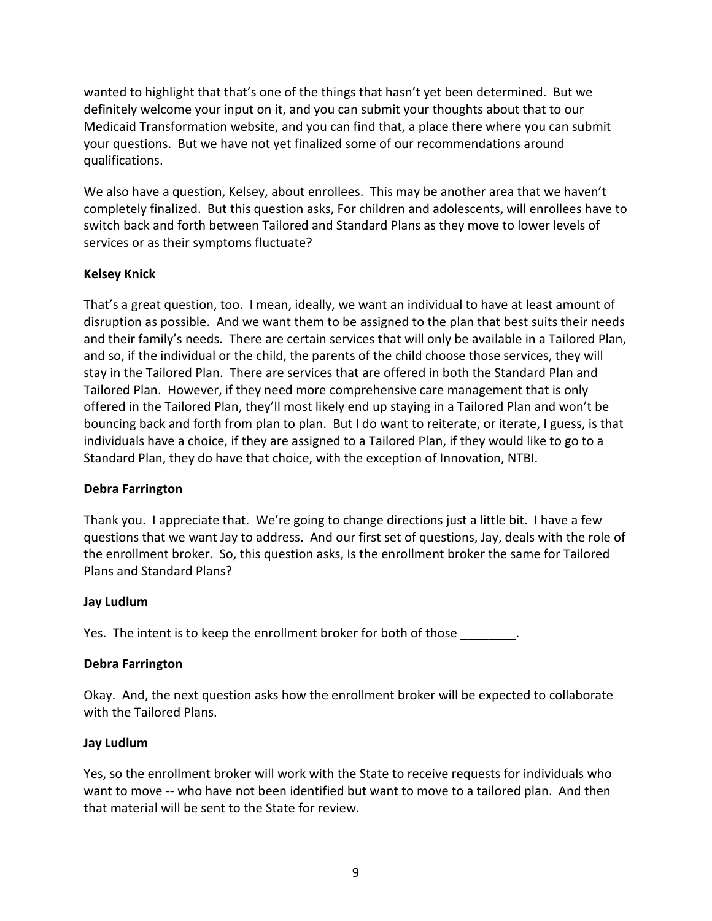wanted to highlight that that's one of the things that hasn't yet been determined. But we definitely welcome your input on it, and you can submit your thoughts about that to our Medicaid Transformation website, and you can find that, a place there where you can submit your questions. But we have not yet finalized some of our recommendations around qualifications.

We also have a question, Kelsey, about enrollees. This may be another area that we haven't completely finalized. But this question asks, For children and adolescents, will enrollees have to switch back and forth between Tailored and Standard Plans as they move to lower levels of services or as their symptoms fluctuate?

# **Kelsey Knick**

That's a great question, too. I mean, ideally, we want an individual to have at least amount of disruption as possible. And we want them to be assigned to the plan that best suits their needs and their family's needs. There are certain services that will only be available in a Tailored Plan, and so, if the individual or the child, the parents of the child choose those services, they will stay in the Tailored Plan. There are services that are offered in both the Standard Plan and Tailored Plan. However, if they need more comprehensive care management that is only offered in the Tailored Plan, they'll most likely end up staying in a Tailored Plan and won't be bouncing back and forth from plan to plan. But I do want to reiterate, or iterate, I guess, is that individuals have a choice, if they are assigned to a Tailored Plan, if they would like to go to a Standard Plan, they do have that choice, with the exception of Innovation, NTBI.

### **Debra Farrington**

Thank you. I appreciate that. We're going to change directions just a little bit. I have a few questions that we want Jay to address. And our first set of questions, Jay, deals with the role of the enrollment broker. So, this question asks, Is the enrollment broker the same for Tailored Plans and Standard Plans?

### **Jay Ludlum**

Yes. The intent is to keep the enrollment broker for both of those  $\qquad \qquad$ .

### **Debra Farrington**

Okay. And, the next question asks how the enrollment broker will be expected to collaborate with the Tailored Plans.

### **Jay Ludlum**

Yes, so the enrollment broker will work with the State to receive requests for individuals who want to move -- who have not been identified but want to move to a tailored plan. And then that material will be sent to the State for review.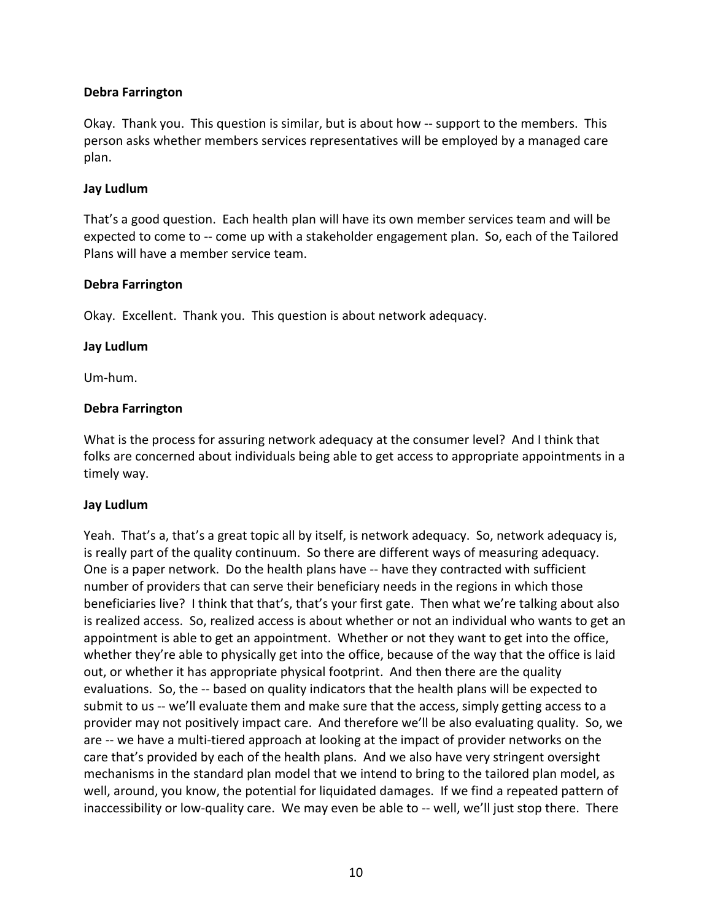## **Debra Farrington**

Okay. Thank you. This question is similar, but is about how -- support to the members. This person asks whether members services representatives will be employed by a managed care plan.

## **Jay Ludlum**

That's a good question. Each health plan will have its own member services team and will be expected to come to -- come up with a stakeholder engagement plan. So, each of the Tailored Plans will have a member service team.

### **Debra Farrington**

Okay. Excellent. Thank you. This question is about network adequacy.

### **Jay Ludlum**

Um-hum.

## **Debra Farrington**

What is the process for assuring network adequacy at the consumer level? And I think that folks are concerned about individuals being able to get access to appropriate appointments in a timely way.

# **Jay Ludlum**

Yeah. That's a, that's a great topic all by itself, is network adequacy. So, network adequacy is, is really part of the quality continuum. So there are different ways of measuring adequacy. One is a paper network. Do the health plans have -- have they contracted with sufficient number of providers that can serve their beneficiary needs in the regions in which those beneficiaries live? I think that that's, that's your first gate. Then what we're talking about also is realized access. So, realized access is about whether or not an individual who wants to get an appointment is able to get an appointment. Whether or not they want to get into the office, whether they're able to physically get into the office, because of the way that the office is laid out, or whether it has appropriate physical footprint. And then there are the quality evaluations. So, the -- based on quality indicators that the health plans will be expected to submit to us -- we'll evaluate them and make sure that the access, simply getting access to a provider may not positively impact care. And therefore we'll be also evaluating quality. So, we are -- we have a multi-tiered approach at looking at the impact of provider networks on the care that's provided by each of the health plans. And we also have very stringent oversight mechanisms in the standard plan model that we intend to bring to the tailored plan model, as well, around, you know, the potential for liquidated damages. If we find a repeated pattern of inaccessibility or low-quality care. We may even be able to -- well, we'll just stop there. There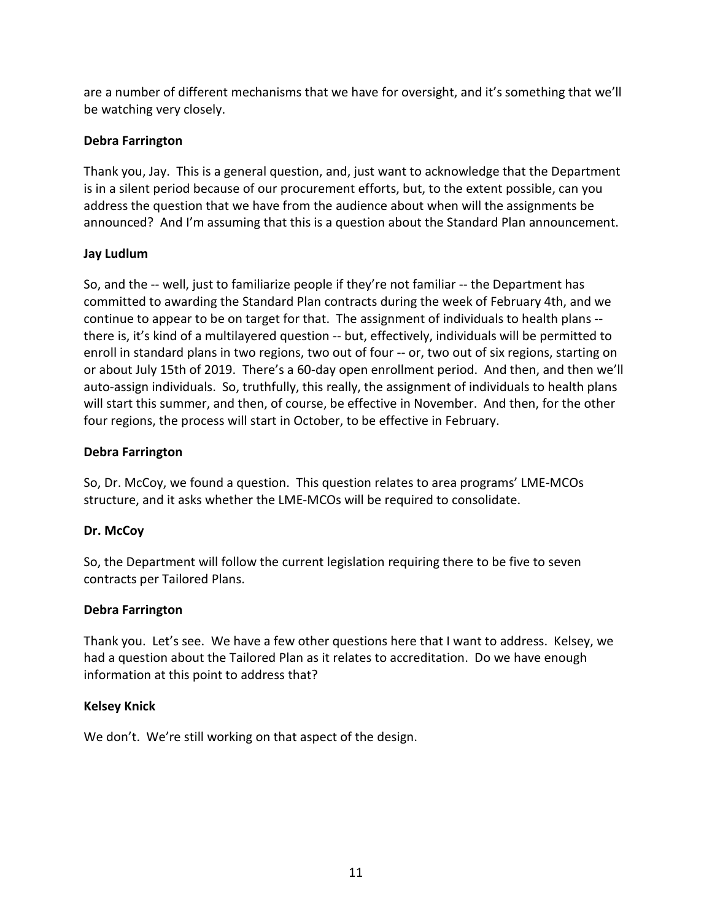are a number of different mechanisms that we have for oversight, and it's something that we'll be watching very closely.

# **Debra Farrington**

Thank you, Jay. This is a general question, and, just want to acknowledge that the Department is in a silent period because of our procurement efforts, but, to the extent possible, can you address the question that we have from the audience about when will the assignments be announced? And I'm assuming that this is a question about the Standard Plan announcement.

# **Jay Ludlum**

So, and the -- well, just to familiarize people if they're not familiar -- the Department has committed to awarding the Standard Plan contracts during the week of February 4th, and we continue to appear to be on target for that. The assignment of individuals to health plans - there is, it's kind of a multilayered question -- but, effectively, individuals will be permitted to enroll in standard plans in two regions, two out of four -- or, two out of six regions, starting on or about July 15th of 2019. There's a 60-day open enrollment period. And then, and then we'll auto-assign individuals. So, truthfully, this really, the assignment of individuals to health plans will start this summer, and then, of course, be effective in November. And then, for the other four regions, the process will start in October, to be effective in February.

# **Debra Farrington**

So, Dr. McCoy, we found a question. This question relates to area programs' LME-MCOs structure, and it asks whether the LME-MCOs will be required to consolidate.

# **Dr. McCoy**

So, the Department will follow the current legislation requiring there to be five to seven contracts per Tailored Plans.

# **Debra Farrington**

Thank you. Let's see. We have a few other questions here that I want to address. Kelsey, we had a question about the Tailored Plan as it relates to accreditation. Do we have enough information at this point to address that?

# **Kelsey Knick**

We don't. We're still working on that aspect of the design.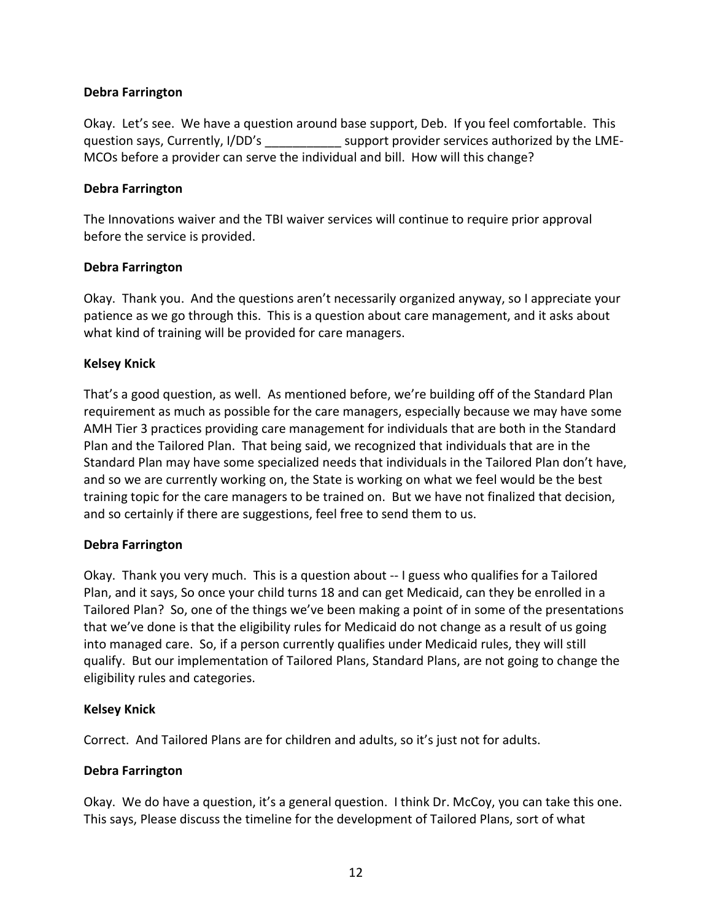## **Debra Farrington**

Okay. Let's see. We have a question around base support, Deb. If you feel comfortable. This question says, Currently, I/DD's support provider services authorized by the LME-MCOs before a provider can serve the individual and bill. How will this change?

## **Debra Farrington**

The Innovations waiver and the TBI waiver services will continue to require prior approval before the service is provided.

## **Debra Farrington**

Okay. Thank you. And the questions aren't necessarily organized anyway, so I appreciate your patience as we go through this. This is a question about care management, and it asks about what kind of training will be provided for care managers.

## **Kelsey Knick**

That's a good question, as well. As mentioned before, we're building off of the Standard Plan requirement as much as possible for the care managers, especially because we may have some AMH Tier 3 practices providing care management for individuals that are both in the Standard Plan and the Tailored Plan. That being said, we recognized that individuals that are in the Standard Plan may have some specialized needs that individuals in the Tailored Plan don't have, and so we are currently working on, the State is working on what we feel would be the best training topic for the care managers to be trained on. But we have not finalized that decision, and so certainly if there are suggestions, feel free to send them to us.

### **Debra Farrington**

Okay. Thank you very much. This is a question about -- I guess who qualifies for a Tailored Plan, and it says, So once your child turns 18 and can get Medicaid, can they be enrolled in a Tailored Plan? So, one of the things we've been making a point of in some of the presentations that we've done is that the eligibility rules for Medicaid do not change as a result of us going into managed care. So, if a person currently qualifies under Medicaid rules, they will still qualify. But our implementation of Tailored Plans, Standard Plans, are not going to change the eligibility rules and categories.

### **Kelsey Knick**

Correct. And Tailored Plans are for children and adults, so it's just not for adults.

### **Debra Farrington**

Okay. We do have a question, it's a general question. I think Dr. McCoy, you can take this one. This says, Please discuss the timeline for the development of Tailored Plans, sort of what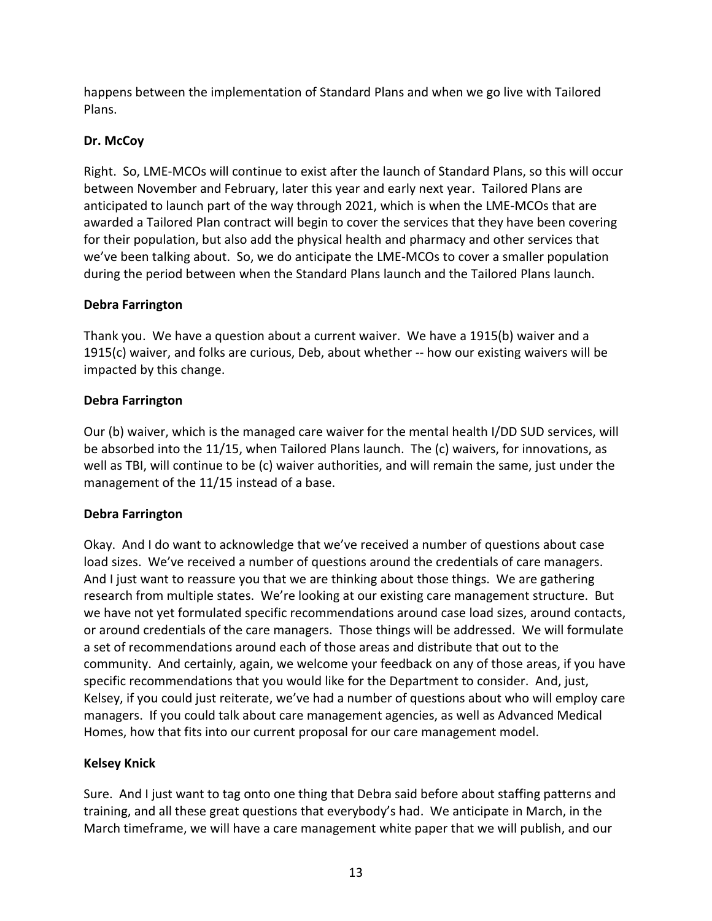happens between the implementation of Standard Plans and when we go live with Tailored Plans.

# **Dr. McCoy**

Right. So, LME-MCOs will continue to exist after the launch of Standard Plans, so this will occur between November and February, later this year and early next year. Tailored Plans are anticipated to launch part of the way through 2021, which is when the LME-MCOs that are awarded a Tailored Plan contract will begin to cover the services that they have been covering for their population, but also add the physical health and pharmacy and other services that we've been talking about. So, we do anticipate the LME-MCOs to cover a smaller population during the period between when the Standard Plans launch and the Tailored Plans launch.

# **Debra Farrington**

Thank you. We have a question about a current waiver. We have a 1915(b) waiver and a 1915(c) waiver, and folks are curious, Deb, about whether -- how our existing waivers will be impacted by this change.

# **Debra Farrington**

Our (b) waiver, which is the managed care waiver for the mental health I/DD SUD services, will be absorbed into the 11/15, when Tailored Plans launch. The (c) waivers, for innovations, as well as TBI, will continue to be (c) waiver authorities, and will remain the same, just under the management of the 11/15 instead of a base.

# **Debra Farrington**

Okay. And I do want to acknowledge that we've received a number of questions about case load sizes. We've received a number of questions around the credentials of care managers. And I just want to reassure you that we are thinking about those things. We are gathering research from multiple states. We're looking at our existing care management structure. But we have not yet formulated specific recommendations around case load sizes, around contacts, or around credentials of the care managers. Those things will be addressed. We will formulate a set of recommendations around each of those areas and distribute that out to the community. And certainly, again, we welcome your feedback on any of those areas, if you have specific recommendations that you would like for the Department to consider. And, just, Kelsey, if you could just reiterate, we've had a number of questions about who will employ care managers. If you could talk about care management agencies, as well as Advanced Medical Homes, how that fits into our current proposal for our care management model.

# **Kelsey Knick**

Sure. And I just want to tag onto one thing that Debra said before about staffing patterns and training, and all these great questions that everybody's had. We anticipate in March, in the March timeframe, we will have a care management white paper that we will publish, and our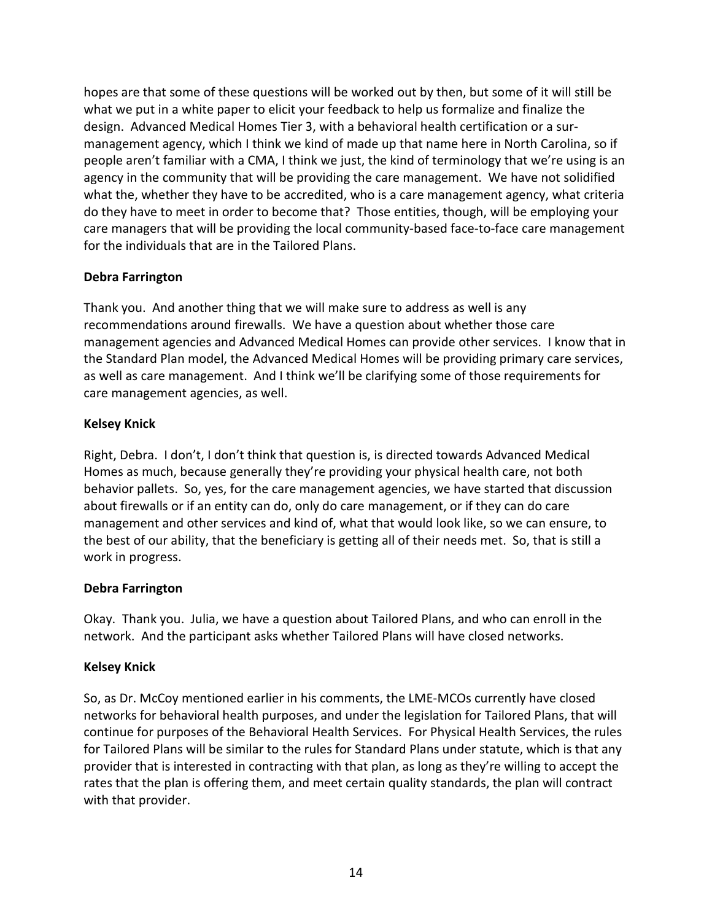hopes are that some of these questions will be worked out by then, but some of it will still be what we put in a white paper to elicit your feedback to help us formalize and finalize the design. Advanced Medical Homes Tier 3, with a behavioral health certification or a surmanagement agency, which I think we kind of made up that name here in North Carolina, so if people aren't familiar with a CMA, I think we just, the kind of terminology that we're using is an agency in the community that will be providing the care management. We have not solidified what the, whether they have to be accredited, who is a care management agency, what criteria do they have to meet in order to become that? Those entities, though, will be employing your care managers that will be providing the local community-based face-to-face care management for the individuals that are in the Tailored Plans.

# **Debra Farrington**

Thank you. And another thing that we will make sure to address as well is any recommendations around firewalls. We have a question about whether those care management agencies and Advanced Medical Homes can provide other services. I know that in the Standard Plan model, the Advanced Medical Homes will be providing primary care services, as well as care management. And I think we'll be clarifying some of those requirements for care management agencies, as well.

# **Kelsey Knick**

Right, Debra. I don't, I don't think that question is, is directed towards Advanced Medical Homes as much, because generally they're providing your physical health care, not both behavior pallets. So, yes, for the care management agencies, we have started that discussion about firewalls or if an entity can do, only do care management, or if they can do care management and other services and kind of, what that would look like, so we can ensure, to the best of our ability, that the beneficiary is getting all of their needs met. So, that is still a work in progress.

# **Debra Farrington**

Okay. Thank you. Julia, we have a question about Tailored Plans, and who can enroll in the network. And the participant asks whether Tailored Plans will have closed networks.

# **Kelsey Knick**

So, as Dr. McCoy mentioned earlier in his comments, the LME-MCOs currently have closed networks for behavioral health purposes, and under the legislation for Tailored Plans, that will continue for purposes of the Behavioral Health Services. For Physical Health Services, the rules for Tailored Plans will be similar to the rules for Standard Plans under statute, which is that any provider that is interested in contracting with that plan, as long as they're willing to accept the rates that the plan is offering them, and meet certain quality standards, the plan will contract with that provider.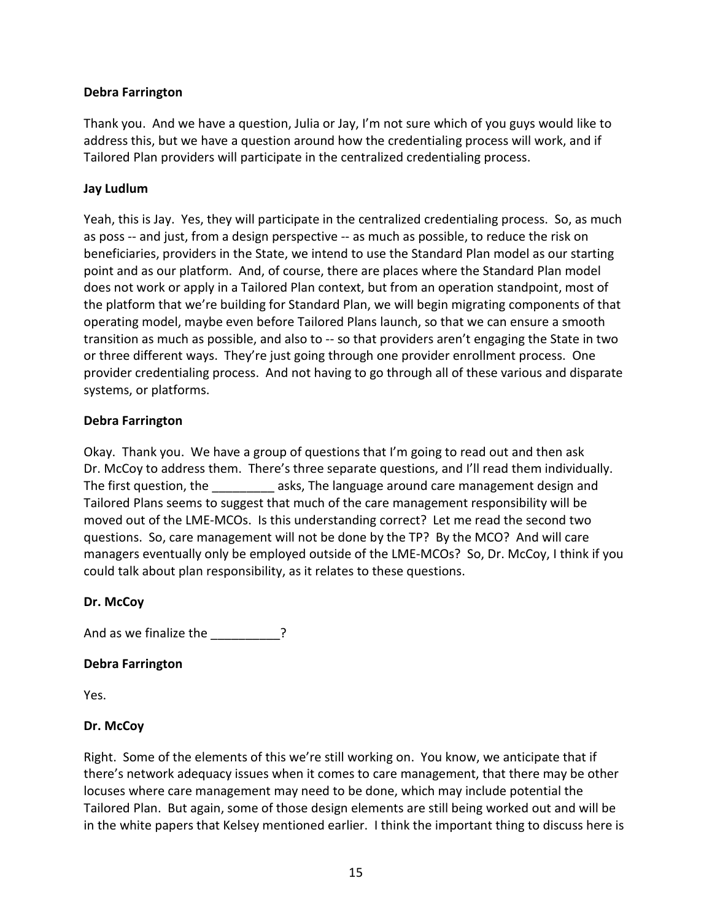## **Debra Farrington**

Thank you. And we have a question, Julia or Jay, I'm not sure which of you guys would like to address this, but we have a question around how the credentialing process will work, and if Tailored Plan providers will participate in the centralized credentialing process.

## **Jay Ludlum**

Yeah, this is Jay. Yes, they will participate in the centralized credentialing process. So, as much as poss -- and just, from a design perspective -- as much as possible, to reduce the risk on beneficiaries, providers in the State, we intend to use the Standard Plan model as our starting point and as our platform. And, of course, there are places where the Standard Plan model does not work or apply in a Tailored Plan context, but from an operation standpoint, most of the platform that we're building for Standard Plan, we will begin migrating components of that operating model, maybe even before Tailored Plans launch, so that we can ensure a smooth transition as much as possible, and also to -- so that providers aren't engaging the State in two or three different ways. They're just going through one provider enrollment process. One provider credentialing process. And not having to go through all of these various and disparate systems, or platforms.

### **Debra Farrington**

Okay. Thank you. We have a group of questions that I'm going to read out and then ask Dr. McCoy to address them. There's three separate questions, and I'll read them individually. The first question, the **Example 20** asks, The language around care management design and Tailored Plans seems to suggest that much of the care management responsibility will be moved out of the LME-MCOs. Is this understanding correct? Let me read the second two questions. So, care management will not be done by the TP? By the MCO? And will care managers eventually only be employed outside of the LME-MCOs? So, Dr. McCoy, I think if you could talk about plan responsibility, as it relates to these questions.

### **Dr. McCoy**

And as we finalize the \_\_\_\_\_\_\_\_\_\_?

### **Debra Farrington**

Yes.

# **Dr. McCoy**

Right. Some of the elements of this we're still working on. You know, we anticipate that if there's network adequacy issues when it comes to care management, that there may be other locuses where care management may need to be done, which may include potential the Tailored Plan. But again, some of those design elements are still being worked out and will be in the white papers that Kelsey mentioned earlier. I think the important thing to discuss here is